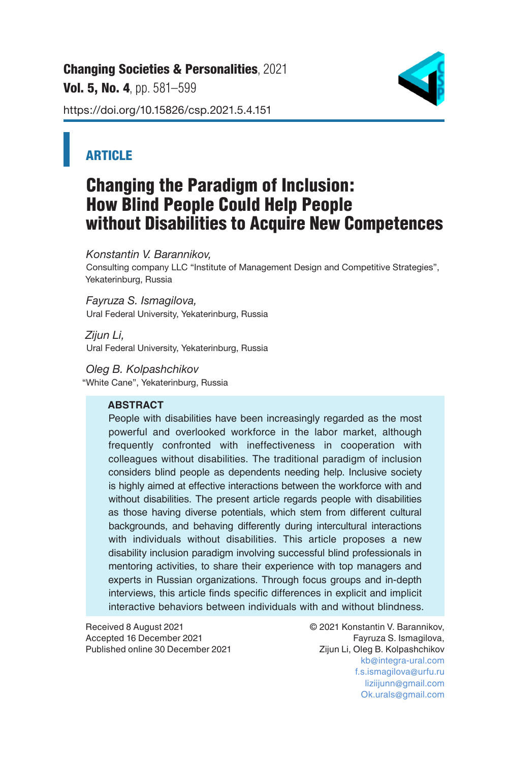[Changing Societies & Personalities](https://changing-sp.com/), 2021 Vol. 5. No. 4, pp. 581-599 https://doi.org/10.15826/csp.2021.5.4.151



## **ARTICLE**

# Changing the Paradigm of Inclusion: How Blind People Could Help People without Disabilities to Acquire New Competences

*Konstantin V. Barannikov,* 

Consulting company LLC "Institute of Management Design and Competitive Strategies", Yekaterinburg, Russia

*Fayruza S. Ismagilova,*  Ural Federal University, Yekaterinburg, Russia

*Zijun Li,*  Ural Federal University, Yekaterinburg, Russia

*Oleg B. Kolpashchikov* "White Cane", Yekaterinburg, Russia

## **ABSTRACT**

People with disabilities have been increasingly regarded as the most powerful and overlooked workforce in the labor market, although frequently confronted with ineffectiveness in cooperation with colleagues without disabilities. The traditional paradigm of inclusion considers blind people as dependents needing help. Inclusive society is highly aimed at effective interactions between the workforce with and without disabilities. The present article regards people with disabilities as those having diverse potentials, which stem from different cultural backgrounds, and behaving differently during intercultural interactions with individuals without disabilities. This article proposes a new disability inclusion paradigm involving successful blind professionals in mentoring activities, to share their experience with top managers and experts in Russian organizations. Through focus groups and in-depth interviews, this article finds specific differences in explicit and implicit interactive behaviors between individuals with and without blindness.

Received 8 August 2021 © 2021 Konstantin V. Barannikov, Accepted 16 December 2021 Published online 30 December 2021 Zijun Li, Oleg B. Kolpashchikov

kb@integra-ural.com f.s.ismagilova@urfu.ru liziijunn@gmail.com Ok.urals@gmail.com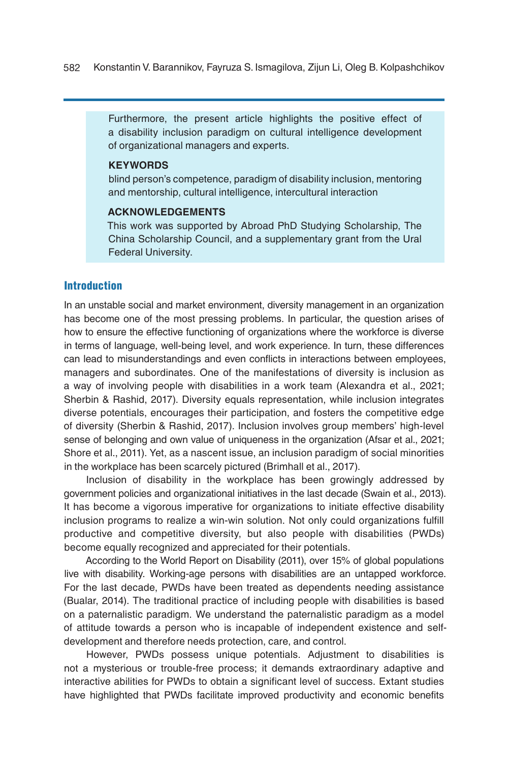Furthermore, the present article highlights the positive effect of a disability inclusion paradigm on cultural intelligence development of organizational managers and experts.

#### **KEYWORDS**

blind person's competence, paradigm of disability inclusion, mentoring and mentorship, cultural intelligence, intercultural interaction

#### **ACKNOWLEDGEMENTS**

This work was supported by Abroad PhD Studying Scholarship, The China Scholarship Council, and a supplementary grant from the Ural Federal University.

## Introduction

In an unstable social and market environment, diversity management in an organization has become one of the most pressing problems. In particular, the question arises of how to ensure the effective functioning of organizations where the workforce is diverse in terms of language, well-being level, and work experience. In turn, these differences can lead to misunderstandings and even conflicts in interactions between employees, managers and subordinates. One of the manifestations of diversity is inclusion as a way of involving people with disabilities in a work team (Alexandra et al., 2021; Sherbin & Rashid, 2017). Diversity equals representation, while inclusion integrates diverse potentials, encourages their participation, and fosters the competitive edge of diversity (Sherbin & Rashid, 2017). Inclusion involves group members' high-level sense of belonging and own value of uniqueness in the organization (Afsar et al., 2021; Shore et al., 2011). Yet, as a nascent issue, an inclusion paradigm of social minorities in the workplace has been scarcely pictured (Brimhall et al., 2017).

Inclusion of disability in the workplace has been growingly addressed by government policies and organizational initiatives in the last decade (Swain et al., 2013). It has become a vigorous imperative for organizations to initiate effective disability inclusion programs to realize a win-win solution. Not only could organizations fulfill productive and competitive diversity, but also people with disabilities (PWDs) become equally recognized and appreciated for their potentials.

According to the World Report on Disability (2011), over 15% of global populations live with disability. Working-age persons with disabilities are an untapped workforce. For the last decade, PWDs have been treated as dependents needing assistance (Bualar, 2014). The traditional practice of including people with disabilities is based on a paternalistic paradigm. We understand the paternalistic paradigm as a model of attitude towards a person who is incapable of independent existence and selfdevelopment and therefore needs protection, care, and control.

However, PWDs possess unique potentials. Adjustment to disabilities is not a mysterious or trouble-free process; it demands extraordinary adaptive and interactive abilities for PWDs to obtain a significant level of success. Extant studies have highlighted that PWDs facilitate improved productivity and economic benefits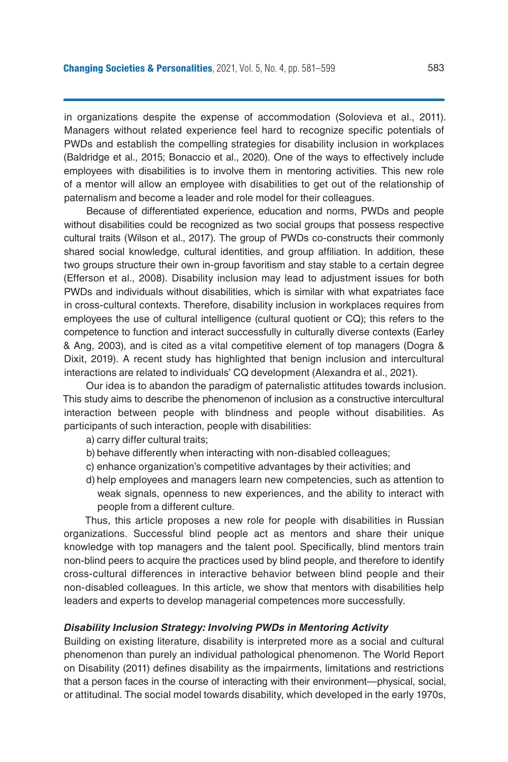in organizations despite the expense of accommodation (Solovieva et al., 2011). Managers without related experience feel hard to recognize specific potentials of PWDs and establish the compelling strategies for disability inclusion in workplaces (Baldridge et al., 2015; Bonaccio et al., 2020). One of the ways to effectively include employees with disabilities is to involve them in mentoring activities. This new role of a mentor will allow an employee with disabilities to get out of the relationship of paternalism and become a leader and role model for their colleagues.

Because of differentiated experience, education and norms, PWDs and people without disabilities could be recognized as two social groups that possess respective cultural traits (Wilson et al., 2017). The group of PWDs co-constructs their commonly shared social knowledge, cultural identities, and group affiliation. In addition, these two groups structure their own in-group favoritism and stay stable to a certain degree (Efferson et al., 2008). Disability inclusion may lead to adjustment issues for both PWDs and individuals without disabilities, which is similar with what expatriates face in cross-cultural contexts. Therefore, disability inclusion in workplaces requires from employees the use of cultural intelligence (cultural quotient or CQ); this refers to the competence to function and interact successfully in culturally diverse contexts (Earley & Ang, 2003), and is cited as a vital competitive element of top managers (Dogra & Dixit, 2019). A recent study has highlighted that benign inclusion and intercultural interactions are related to individuals' CQ development (Alexandra et al., 2021).

Our idea is to abandon the paradigm of paternalistic attitudes towards inclusion. This study aims to describe the phenomenon of inclusion as a constructive intercultural interaction between people with blindness and people without disabilities. As participants of such interaction, people with disabilities:

- a) carry differ cultural traits;
- b) behave differently when interacting with non-disabled colleagues;
- c) enhance organization's competitive advantages by their activities; and
- d) help employees and managers learn new competencies, such as attention to weak signals, openness to new experiences, and the ability to interact with people from a different culture.

Thus, this article proposes a new role for people with disabilities in Russian organizations. Successful blind people act as mentors and share their unique knowledge with top managers and the talent pool. Specifically, blind mentors train non-blind peers to acquire the practices used by blind people, and therefore to identify cross-cultural differences in interactive behavior between blind people and their non-disabled colleagues. In this article, we show that mentors with disabilities help leaders and experts to develop managerial competences more successfully.

#### *Disability Inclusion Strategy: Involving PWDs in Mentoring Activity*

Building on existing literature, disability is interpreted more as a social and cultural phenomenon than purely an individual pathological phenomenon. The World Report on Disability (2011) defines disability as the impairments, limitations and restrictions that a person faces in the course of interacting with their environment—physical, social, or attitudinal. The social model towards disability, which developed in the early 1970s,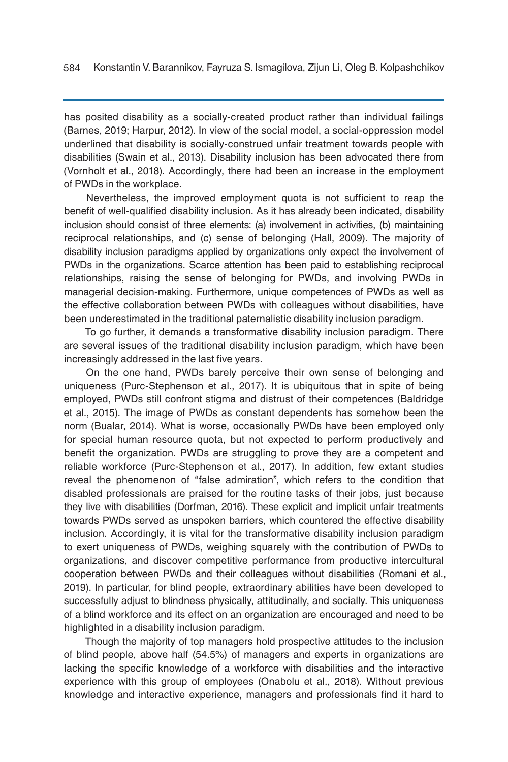has posited disability as a socially-created product rather than individual failings (Barnes, 2019; Harpur, 2012). In view of the social model, a social-oppression model underlined that disability is socially-construed unfair treatment towards people with disabilities (Swain et al., 2013). Disability inclusion has been advocated there from (Vornholt et al., 2018). Accordingly, there had been an increase in the employment of PWDs in the workplace.

Nevertheless, the improved employment quota is not sufficient to reap the benefit of well-qualified disability inclusion. As it has already been indicated, disability inclusion should consist of three elements: (a) involvement in activities, (b) maintaining reciprocal relationships, and (c) sense of belonging (Hall, 2009). The majority of disability inclusion paradigms applied by organizations only expect the involvement of PWDs in the organizations. Scarce attention has been paid to establishing reciprocal relationships, raising the sense of belonging for PWDs, and involving PWDs in managerial decision-making. Furthermore, unique competences of PWDs as well as the effective collaboration between PWDs with colleagues without disabilities, have been underestimated in the traditional paternalistic disability inclusion paradigm.

To go further, it demands a transformative disability inclusion paradigm. There are several issues of the traditional disability inclusion paradigm, which have been increasingly addressed in the last five years.

On the one hand, PWDs barely perceive their own sense of belonging and uniqueness (Purc-Stephenson et al., 2017). It is ubiquitous that in spite of being employed, PWDs still confront stigma and distrust of their competences (Baldridge et al., 2015). The image of PWDs as constant dependents has somehow been the norm (Bualar, 2014). What is worse, occasionally PWDs have been employed only for special human resource quota, but not expected to perform productively and benefit the organization. PWDs are struggling to prove they are a competent and reliable workforce (Purc-Stephenson et al., 2017). In addition, few extant studies reveal the phenomenon of "false admiration", which refers to the condition that disabled professionals are praised for the routine tasks of their jobs, just because they live with disabilities (Dorfman, 2016). These explicit and implicit unfair treatments towards PWDs served as unspoken barriers, which countered the effective disability inclusion. Accordingly, it is vital for the transformative disability inclusion paradigm to exert uniqueness of PWDs, weighing squarely with the contribution of PWDs to organizations, and discover competitive performance from productive intercultural cooperation between PWDs and their colleagues without disabilities (Romani et al., 2019). In particular, for blind people, extraordinary abilities have been developed to successfully adjust to blindness physically, attitudinally, and socially. This uniqueness of a blind workforce and its effect on an organization are encouraged and need to be highlighted in a disability inclusion paradigm.

Though the majority of top managers hold prospective attitudes to the inclusion of blind people, above half (54.5%) of managers and experts in organizations are lacking the specific knowledge of a workforce with disabilities and the interactive experience with this group of employees (Onabolu et al., 2018). Without previous knowledge and interactive experience, managers and professionals find it hard to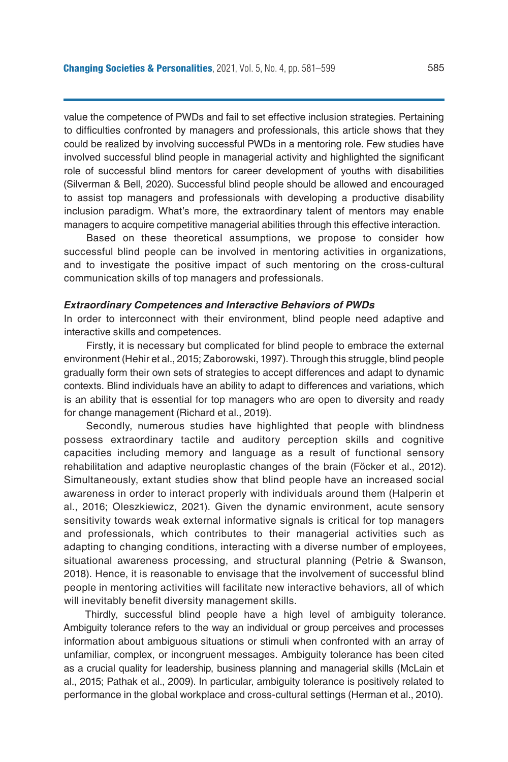value the competence of PWDs and fail to set effective inclusion strategies. Pertaining to difficulties confronted by managers and professionals, this article shows that they could be realized by involving successful PWDs in a mentoring role. Few studies have involved successful blind people in managerial activity and highlighted the significant role of successful blind mentors for career development of youths with disabilities (Silverman & Bell, 2020). Successful blind people should be allowed and encouraged to assist top managers and professionals with developing a productive disability inclusion paradigm. What's more, the extraordinary talent of mentors may enable managers to acquire competitive managerial abilities through this effective interaction.

Based on these theoretical assumptions, we propose to consider how successful blind people can be involved in mentoring activities in organizations, and to investigate the positive impact of such mentoring on the cross-cultural communication skills of top managers and professionals.

#### *Extraordinary Competences and Interactive Behaviors of PWDs*

In order to interconnect with their environment, blind people need adaptive and interactive skills and competences.

Firstly, it is necessary but complicated for blind people to embrace the external environment (Hehir et al., 2015; Zaborowski, 1997). Through this struggle, blind people gradually form their own sets of strategies to accept differences and adapt to dynamic contexts. Blind individuals have an ability to adapt to differences and variations, which is an ability that is essential for top managers who are open to diversity and ready for change management (Richard et al., 2019).

Secondly, numerous studies have highlighted that people with blindness possess extraordinary tactile and auditory perception skills and cognitive capacities including memory and language as a result of functional sensory rehabilitation and adaptive neuroplastic changes of the brain (Föcker et al., 2012). Simultaneously, extant studies show that blind people have an increased social awareness in order to interact properly with individuals around them (Halperin et al., 2016; Oleszkiewicz, 2021). Given the dynamic environment, acute sensory sensitivity towards weak external informative signals is critical for top managers and professionals, which contributes to their managerial activities such as adapting to changing conditions, interacting with a diverse number of employees, situational awareness processing, and structural planning (Petrie & Swanson, 2018). Hence, it is reasonable to envisage that the involvement of successful blind people in mentoring activities will facilitate new interactive behaviors, all of which will inevitably benefit diversity management skills.

Thirdly, successful blind people have a high level of ambiguity tolerance. Ambiguity tolerance refers to the way an individual or group perceives and processes information about ambiguous situations or stimuli when confronted with an array of unfamiliar, complex, or incongruent messages. Ambiguity tolerance has been cited as a crucial quality for leadership, business planning and managerial skills (McLain et al., 2015; Pathak et al., 2009). In particular, ambiguity tolerance is positively related to performance in the global workplace and cross-cultural settings (Herman et al., 2010).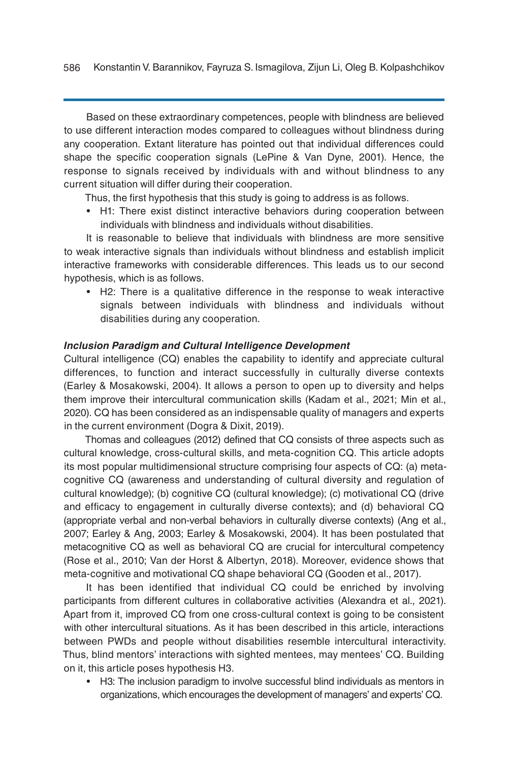Based on these extraordinary competences, people with blindness are believed to use different interaction modes compared to colleagues without blindness during any cooperation. Extant literature has pointed out that individual differences could shape the specific cooperation signals (LePine & Van Dyne, 2001). Hence, the response to signals received by individuals with and without blindness to any current situation will differ during their cooperation.

Thus, the first hypothesis that this study is going to address is as follows.

• H1: There exist distinct interactive behaviors during cooperation between individuals with blindness and individuals without disabilities.

It is reasonable to believe that individuals with blindness are more sensitive to weak interactive signals than individuals without blindness and establish implicit interactive frameworks with considerable differences. This leads us to our second hypothesis, which is as follows.

• H2: There is a qualitative difference in the response to weak interactive signals between individuals with blindness and individuals without disabilities during any cooperation.

#### *Inclusion Paradigm and Cultural Intelligence Development*

Cultural intelligence (CQ) enables the capability to identify and appreciate cultural differences, to function and interact successfully in culturally diverse contexts (Earley & Mosakowski, 2004). It allows a person to open up to diversity and helps them improve their intercultural communication skills (Kadam et al., 2021; Min et al., 2020). CQ has been considered as an indispensable quality of managers and experts in the current environment (Dogra & Dixit, 2019).

Thomas and colleagues (2012) defined that CQ consists of three aspects such as cultural knowledge, cross-cultural skills, and meta-cognition CQ. This article adopts its most popular multidimensional structure comprising four aspects of CQ: (a) metacognitive CQ (awareness and understanding of cultural diversity and regulation of cultural knowledge); (b) cognitive CQ (cultural knowledge); (c) motivational CQ (drive and efficacy to engagement in culturally diverse contexts); and (d) behavioral CQ (appropriate verbal and non-verbal behaviors in culturally diverse contexts) (Ang et al., 2007; Earley & Ang, 2003; Earley & Mosakowski, 2004). It has been postulated that metacognitive CQ as well as behavioral CQ are crucial for intercultural competency (Rose et al., 2010; Van der Horst & Albertyn, 2018). Moreover, evidence shows that meta-cognitive and motivational CQ shape behavioral CQ (Gooden et al., 2017).

It has been identified that individual CQ could be enriched by involving participants from different cultures in collaborative activities (Alexandra et al., 2021). Apart from it, improved CQ from one cross-cultural context is going to be consistent with other intercultural situations. As it has been described in this article, interactions between PWDs and people without disabilities resemble intercultural interactivity. Thus, blind mentors' interactions with sighted mentees, may mentees' CQ. Building on it, this article poses hypothesis H3.

• H3: The inclusion paradigm to involve successful blind individuals as mentors in organizations, which encourages the development of managers' and experts' CQ.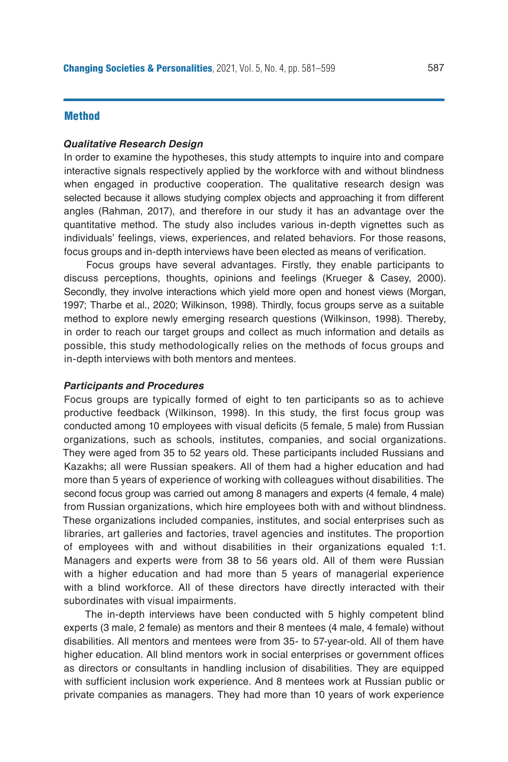#### **Method**

#### *Qualitative Research Design*

In order to examine the hypotheses, this study attempts to inquire into and compare interactive signals respectively applied by the workforce with and without blindness when engaged in productive cooperation. The qualitative research design was selected because it allows studying complex objects and approaching it from different angles (Rahman, 2017), and therefore in our study it has an advantage over the quantitative method. The study also includes various in-depth vignettes such as individuals' feelings, views, experiences, and related behaviors. For those reasons, focus groups and in-depth interviews have been elected as means of verification.

Focus groups have several advantages. Firstly, they enable participants to discuss perceptions, thoughts, opinions and feelings (Krueger & Casey, 2000). Secondly, they involve interactions which yield more open and honest views (Morgan, 1997; Tharbe et al., 2020; Wilkinson, 1998). Thirdly, focus groups serve as a suitable method to explore newly emerging research questions (Wilkinson, 1998). Thereby, in order to reach our target groups and collect as much information and details as possible, this study methodologically relies on the methods of focus groups and in-depth interviews with both mentors and mentees.

#### *Participants and Procedures*

Focus groups are typically formed of eight to ten participants so as to achieve productive feedback (Wilkinson, 1998). In this study, the first focus group was conducted among 10 employees with visual deficits (5 female, 5 male) from Russian organizations, such as schools, institutes, companies, and social organizations. They were aged from 35 to 52 years old. These participants included Russians and Kazakhs; all were Russian speakers. All of them had a higher education and had more than 5 years of experience of working with colleagues without disabilities. The second focus group was carried out among 8 managers and experts (4 female, 4 male) from Russian organizations, which hire employees both with and without blindness. These organizations included companies, institutes, and social enterprises such as libraries, art galleries and factories, travel agencies and institutes. The proportion of employees with and without disabilities in their organizations equaled 1:1. Managers and experts were from 38 to 56 years old. All of them were Russian with a higher education and had more than 5 years of managerial experience with a blind workforce. All of these directors have directly interacted with their subordinates with visual impairments.

The in-depth interviews have been conducted with 5 highly competent blind experts (3 male, 2 female) as mentors and their 8 mentees (4 male, 4 female) without disabilities. All mentors and mentees were from 35- to 57-year-old. All of them have higher education. All blind mentors work in social enterprises or government offices as directors or consultants in handling inclusion of disabilities. They are equipped with sufficient inclusion work experience. And 8 mentees work at Russian public or private companies as managers. They had more than 10 years of work experience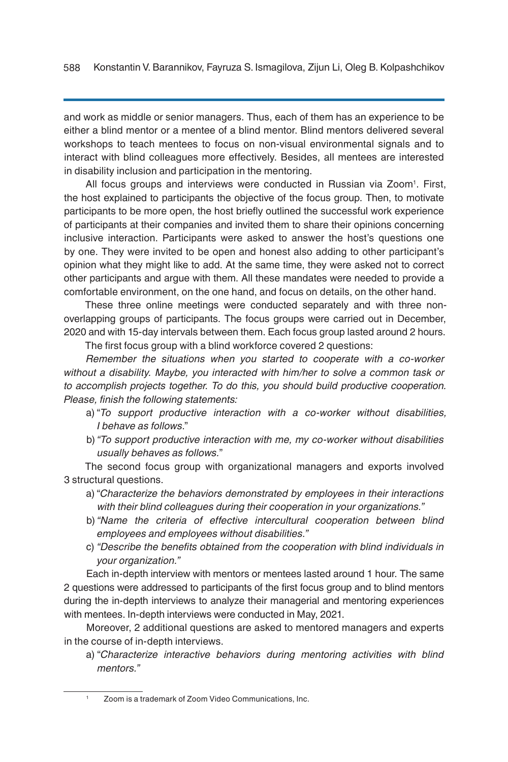and work as middle or senior managers. Thus, each of them has an experience to be either a blind mentor or a mentee of a blind mentor. Blind mentors delivered several workshops to teach mentees to focus on non-visual environmental signals and to interact with blind colleagues more effectively. Besides, all mentees are interested in disability inclusion and participation in the mentoring.

All focus groups and interviews were conducted in Russian via Zoom<sup>1</sup>. First, the host explained to participants the objective of the focus group. Then, to motivate participants to be more open, the host briefly outlined the successful work experience of participants at their companies and invited them to share their opinions concerning inclusive interaction. Participants were asked to answer the host's questions one by one. They were invited to be open and honest also adding to other participant's opinion what they might like to add. At the same time, they were asked not to correct other participants and argue with them. All these mandates were needed to provide a comfortable environment, on the one hand, and focus on details, on the other hand.

These three online meetings were conducted separately and with three nonoverlapping groups of participants. The focus groups were carried out in December, 2020 and with 15-day intervals between them. Each focus group lasted around 2 hours.

The first focus group with a blind workforce covered 2 questions:

*Remember the situations when you started to cooperate with a co-worker without a disability. Maybe, you interacted with him/her to solve a common task or to accomplish projects together. To do this, you should build productive cooperation. Please, finish the following statements:* 

- a) "*To support productive interaction with a co-worker without disabilities, I behave as follows*."
- b) *"To support productive interaction with me, my co-worker without disabilities usually behaves as follows.*"

The second focus group with organizational managers and exports involved 3 structural questions.

- a) "*Characterize the behaviors demonstrated by employees in their interactions with their blind colleagues during their cooperation in your organizations."*
- b) *"Name the criteria of effective intercultural cooperation between blind employees and employees without disabilities."*
- c) *"Describe the benefits obtained from the cooperation with blind individuals in your organization."*

Each in-depth interview with mentors or mentees lasted around 1 hour. The same 2 questions were addressed to participants of the first focus group and to blind mentors during the in-depth interviews to analyze their managerial and mentoring experiences with mentees. In-depth interviews were conducted in May, 2021.

Moreover, 2 additional questions are asked to mentored managers and experts in the course of in-depth interviews.

a) "*Characterize interactive behaviors during mentoring activities with blind mentors."* 

<sup>1</sup> Zoom is a trademark of Zoom Video Communications, Inc.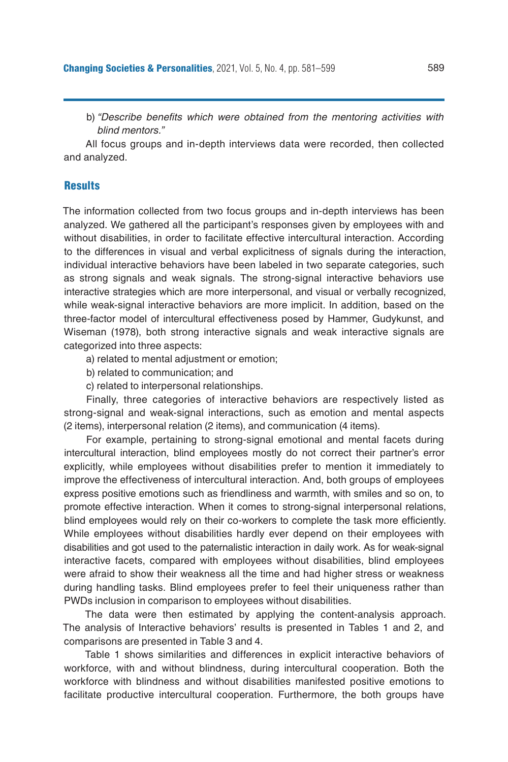b) *"Describe benefits which were obtained from the mentoring activities with blind mentors."*

All focus groups and in-depth interviews data were recorded, then collected and analyzed.

## **Results**

The information collected from two focus groups and in-depth interviews has been analyzed. We gathered all the participant's responses given by employees with and without disabilities, in order to facilitate effective intercultural interaction. According to the differences in visual and verbal explicitness of signals during the interaction, individual interactive behaviors have been labeled in two separate categories, such as strong signals and weak signals. The strong-signal interactive behaviors use interactive strategies which are more interpersonal, and visual or verbally recognized, while weak-signal interactive behaviors are more implicit. In addition, based on the three-factor model of intercultural effectiveness posed by Hammer, Gudykunst, and Wiseman (1978), both strong interactive signals and weak interactive signals are categorized into three aspects:

a) related to mental adjustment or emotion;

b) related to communication; and

c) related to interpersonal relationships.

Finally, three categories of interactive behaviors are respectively listed as strong-signal and weak-signal interactions, such as emotion and mental aspects (2 items), interpersonal relation (2 items), and communication (4 items).

For example, pertaining to strong-signal emotional and mental facets during intercultural interaction, blind employees mostly do not correct their partner's error explicitly, while employees without disabilities prefer to mention it immediately to improve the effectiveness of intercultural interaction. And, both groups of employees express positive emotions such as friendliness and warmth, with smiles and so on, to promote effective interaction. When it comes to strong-signal interpersonal relations, blind employees would rely on their co-workers to complete the task more efficiently. While employees without disabilities hardly ever depend on their employees with disabilities and got used to the paternalistic interaction in daily work. As for weak-signal interactive facets, compared with employees without disabilities, blind employees were afraid to show their weakness all the time and had higher stress or weakness during handling tasks. Blind employees prefer to feel their uniqueness rather than PWDs inclusion in comparison to employees without disabilities.

The data were then estimated by applying the content-analysis approach. The analysis of Interactive behaviors' results is presented in Tables 1 and 2, and comparisons are presented in Table 3 and 4.

Table 1 shows similarities and differences in explicit interactive behaviors of workforce, with and without blindness, during intercultural cooperation. Both the workforce with blindness and without disabilities manifested positive emotions to facilitate productive intercultural cooperation. Furthermore, the both groups have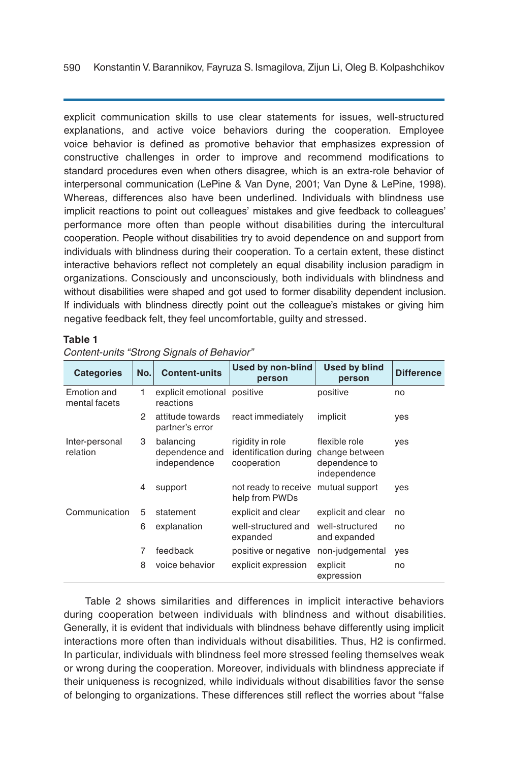explicit communication skills to use clear statements for issues, well-structured explanations, and active voice behaviors during the cooperation. Employee voice behavior is defined as promotive behavior that emphasizes expression of constructive challenges in order to improve and recommend modifications to standard procedures even when others disagree, which is an extra-role behavior of interpersonal communication (LePine & Van Dyne, 2001; Van Dyne & LePine, 1998). Whereas, differences also have been underlined. Individuals with blindness use implicit reactions to point out colleagues' mistakes and give feedback to colleagues' performance more often than people without disabilities during the intercultural cooperation. People without disabilities try to avoid dependence on and support from individuals with blindness during their cooperation. To a certain extent, these distinct interactive behaviors reflect not completely an equal disability inclusion paradigm in organizations. Consciously and unconsciously, both individuals with blindness and without disabilities were shaped and got used to former disability dependent inclusion. If individuals with blindness directly point out the colleague's mistakes or giving him negative feedback felt, they feel uncomfortable, guilty and stressed.

#### **Table 1**

| <b>Categories</b>                   | No. | <b>Content-units</b>                        | Used by non-blind<br>person                              | <b>Used by blind</b><br>person                                   | <b>Difference</b> |
|-------------------------------------|-----|---------------------------------------------|----------------------------------------------------------|------------------------------------------------------------------|-------------------|
| <b>Emotion</b> and<br>mental facets | 1   | explicit emotional positive<br>reactions    |                                                          | positive                                                         | no                |
|                                     | 2   | attitude towards<br>partner's error         | react immediately                                        | implicit                                                         | yes               |
| Inter-personal<br>relation          | 3   | balancing<br>dependence and<br>independence | rigidity in role<br>identification during<br>cooperation | flexible role<br>change between<br>dependence to<br>independence | yes               |
|                                     | 4   | support                                     | not ready to receive<br>help from PWDs                   | mutual support                                                   | ves               |
| Communication                       | 5   | statement                                   | explicit and clear                                       | explicit and clear                                               | no                |
|                                     | 6   | explanation                                 | well-structured and<br>expanded                          | well-structured<br>and expanded                                  | no                |
|                                     | 7   | feedback                                    | positive or negative                                     | non-judgemental                                                  | yes               |
|                                     | 8   | voice behavior                              | explicit expression                                      | explicit<br>expression                                           | no                |

## *Content-units "Strong Signals of Behavior"*

Table 2 shows similarities and differences in implicit interactive behaviors during cooperation between individuals with blindness and without disabilities. Generally, it is evident that individuals with blindness behave differently using implicit interactions more often than individuals without disabilities. Thus, H2 is confirmed. In particular, individuals with blindness feel more stressed feeling themselves weak or wrong during the cooperation. Moreover, individuals with blindness appreciate if their uniqueness is recognized, while individuals without disabilities favor the sense of belonging to organizations. These differences still reflect the worries about "false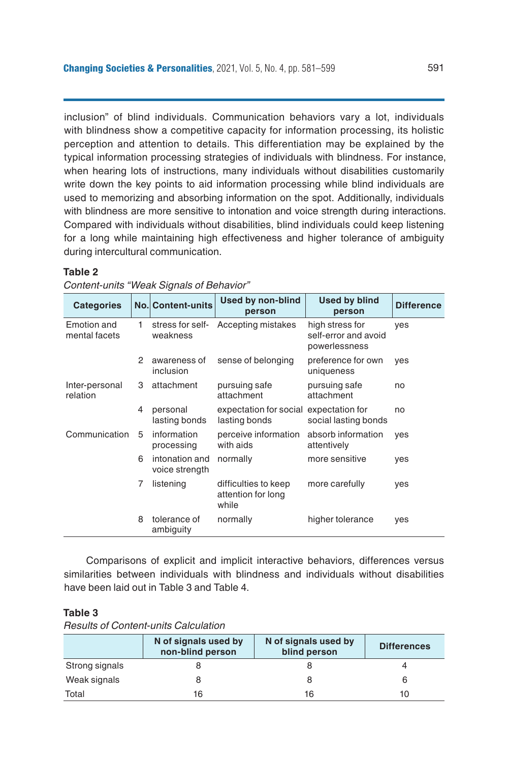inclusion" of blind individuals. Communication behaviors vary a lot, individuals with blindness show a competitive capacity for information processing, its holistic perception and attention to details. This differentiation may be explained by the typical information processing strategies of individuals with blindness. For instance, when hearing lots of instructions, many individuals without disabilities customarily write down the key points to aid information processing while blind individuals are used to memorizing and absorbing information on the spot. Additionally, individuals with blindness are more sensitive to intonation and voice strength during interactions. Compared with individuals without disabilities, blind individuals could keep listening for a long while maintaining high effectiveness and higher tolerance of ambiguity during intercultural communication.

#### **Table 2**

| Content-units "Weak Signals of Behavior" |  |
|------------------------------------------|--|
|------------------------------------------|--|

| <b>Categories</b>            |   | <b>No. Content-units</b>         | <b>Used by non-blind</b><br>person                      | <b>Used by blind</b><br>person                           | <b>Difference</b> |
|------------------------------|---|----------------------------------|---------------------------------------------------------|----------------------------------------------------------|-------------------|
| Emotion and<br>mental facets | 1 | stress for self-<br>weakness     | Accepting mistakes                                      | high stress for<br>self-error and avoid<br>powerlessness | ves               |
|                              | 2 | awareness of<br>inclusion        | sense of belonging                                      | preference for own<br>uniqueness                         | yes               |
| Inter-personal<br>relation   | 3 | attachment                       | pursuing safe<br>attachment                             | pursuing safe<br>attachment                              | no                |
|                              | 4 | personal<br>lasting bonds        | expectation for social expectation for<br>lasting bonds | social lasting bonds                                     | no                |
| Communication                | 5 | information<br>processing        | perceive information<br>with aids                       | absorb information<br>attentively                        | ves               |
|                              | 6 | intonation and<br>voice strength | normally                                                | more sensitive                                           | yes               |
|                              | 7 | listening                        | difficulties to keep<br>attention for long<br>while     | more carefully                                           | yes               |
|                              | 8 | tolerance of<br>ambiguity        | normally                                                | higher tolerance                                         | yes               |

Comparisons of explicit and implicit interactive behaviors, differences versus similarities between individuals with blindness and individuals without disabilities have been laid out in Table 3 and Table 4.

## **Table 3**

*Results of Content-units Calculation*

|                | N of signals used by<br>N of signals used by<br>non-blind person<br>blind person |    | <b>Differences</b> |
|----------------|----------------------------------------------------------------------------------|----|--------------------|
| Strong signals |                                                                                  |    |                    |
| Weak signals   |                                                                                  |    |                    |
| Total          | 16                                                                               | 16 | 10                 |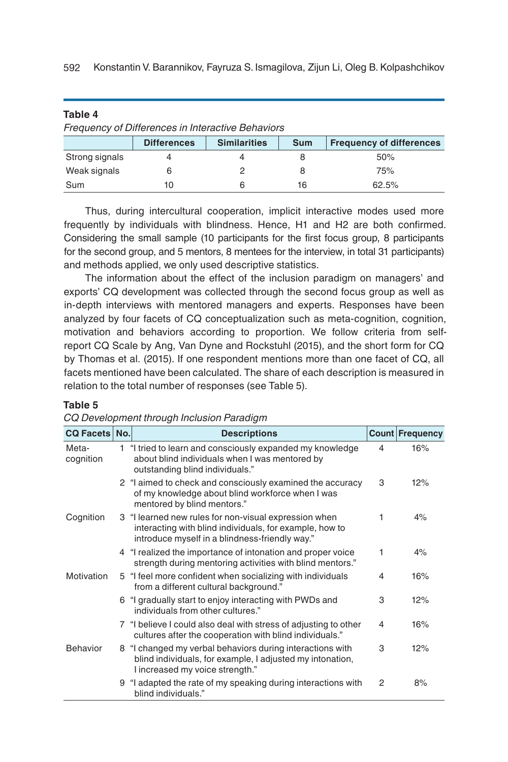592 Konstantin V. Barannikov, Fayruza S. Ismagilova, Zijun Li, Oleg B. Kolpashchikov

| .                                                        |                    |                     |            |                                 |  |
|----------------------------------------------------------|--------------------|---------------------|------------|---------------------------------|--|
| <b>Frequency of Differences in Interactive Behaviors</b> |                    |                     |            |                                 |  |
|                                                          | <b>Differences</b> | <b>Similarities</b> | <b>Sum</b> | <b>Frequency of differences</b> |  |
| Strong signals                                           |                    |                     |            | 50%                             |  |
| Weak signals                                             |                    |                     |            | 75%                             |  |
| Sum                                                      | 10                 |                     | 16         | 62.5%                           |  |

Thus, during intercultural cooperation, implicit interactive modes used more frequently by individuals with blindness. Hence, H1 and H2 are both confirmed. Considering the small sample (10 participants for the first focus group, 8 participants for the second group, and 5 mentors, 8 mentees for the interview, in total 31 participants) and methods applied, we only used descriptive statistics.

The information about the effect of the inclusion paradigm on managers' and exports' CQ development was collected through the second focus group as well as in-depth interviews with mentored managers and experts. Responses have been analyzed by four facets of CQ conceptualization such as meta-cognition, cognition, motivation and behaviors according to proportion. We follow criteria from selfreport CQ Scale by Ang, Van Dyne and Rockstuhl (2015), and the short form for CQ by Thomas et al. (2015). If one respondent mentions more than one facet of CQ, all facets mentioned have been calculated. The share of each description is measured in relation to the total number of responses (see Table 5).

## **Table 5**

**Table 4**

| CQ Development through Inclusion Paradigm |  |  |  |
|-------------------------------------------|--|--|--|
|-------------------------------------------|--|--|--|

| <b>CQ Facets No.</b> | <b>Descriptions</b>                                                                                                                                                |                | <b>Count Frequency</b> |
|----------------------|--------------------------------------------------------------------------------------------------------------------------------------------------------------------|----------------|------------------------|
| Meta-<br>cognition   | 1 "I tried to learn and consciously expanded my knowledge<br>about blind individuals when I was mentored by<br>outstanding blind individuals."                     | $\overline{4}$ | 16%                    |
|                      | 2 "I aimed to check and consciously examined the accuracy<br>of my knowledge about blind workforce when I was<br>mentored by blind mentors."                       | 3              | 12%                    |
| Cognition            | 3 "I learned new rules for non-visual expression when<br>interacting with blind individuals, for example, how to<br>introduce myself in a blindness-friendly way." | 1              | 4%                     |
|                      | 4 "I realized the importance of intonation and proper voice<br>strength during mentoring activities with blind mentors."                                           | 1              | 4%                     |
| Motivation           | 5 "I feel more confident when socializing with individuals<br>from a different cultural background."                                                               | 4              | 16%                    |
|                      | 6 "I gradually start to enjoy interacting with PWDs and<br>individuals from other cultures."                                                                       | 3              | 12%                    |
|                      | 7 "I believe I could also deal with stress of adjusting to other<br>cultures after the cooperation with blind individuals."                                        | 4              | 16%                    |
| <b>Behavior</b>      | 8 "I changed my verbal behaviors during interactions with<br>blind individuals, for example, I adjusted my intonation,<br>I increased my voice strength."          | 3              | 12%                    |
|                      | 9 "I adapted the rate of my speaking during interactions with<br>blind individuals."                                                                               | $\overline{2}$ | 8%                     |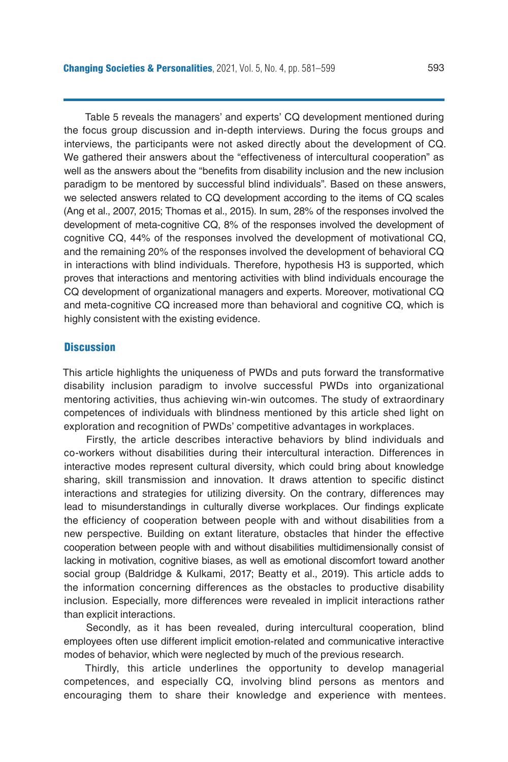Table 5 reveals the managers' and experts' CQ development mentioned during the focus group discussion and in-depth interviews. During the focus groups and interviews, the participants were not asked directly about the development of CQ. We gathered their answers about the "effectiveness of intercultural cooperation" as well as the answers about the "benefits from disability inclusion and the new inclusion paradigm to be mentored by successful blind individuals". Based on these answers, we selected answers related to CQ development according to the items of CQ scales (Ang et al., 2007, 2015; Thomas et al., 2015). In sum, 28% of the responses involved the development of meta-cognitive CQ, 8% of the responses involved the development of cognitive CQ, 44% of the responses involved the development of motivational CQ, and the remaining 20% of the responses involved the development of behavioral CQ in interactions with blind individuals. Therefore, hypothesis H3 is supported, which proves that interactions and mentoring activities with blind individuals encourage the CQ development of organizational managers and experts. Moreover, motivational CQ and meta-cognitive CQ increased more than behavioral and cognitive CQ, which is highly consistent with the existing evidence.

## **Discussion**

This article highlights the uniqueness of PWDs and puts forward the transformative disability inclusion paradigm to involve successful PWDs into organizational mentoring activities, thus achieving win-win outcomes. The study of extraordinary competences of individuals with blindness mentioned by this article shed light on exploration and recognition of PWDs' competitive advantages in workplaces.

Firstly, the article describes interactive behaviors by blind individuals and co-workers without disabilities during their intercultural interaction. Differences in interactive modes represent cultural diversity, which could bring about knowledge sharing, skill transmission and innovation. It draws attention to specific distinct interactions and strategies for utilizing diversity. On the contrary, differences may lead to misunderstandings in culturally diverse workplaces. Our findings explicate the efficiency of cooperation between people with and without disabilities from a new perspective. Building on extant literature, obstacles that hinder the effective cooperation between people with and without disabilities multidimensionally consist of lacking in motivation, cognitive biases, as well as emotional discomfort toward another social group (Baldridge & Kulkami, 2017; Beatty et al., 2019). This article adds to the information concerning differences as the obstacles to productive disability inclusion. Especially, more differences were revealed in implicit interactions rather than explicit interactions.

Secondly, as it has been revealed, during intercultural cooperation, blind employees often use different implicit emotion-related and communicative interactive modes of behavior, which were neglected by much of the previous research.

Thirdly, this article underlines the opportunity to develop managerial competences, and especially CQ, involving blind persons as mentors and encouraging them to share their knowledge and experience with mentees.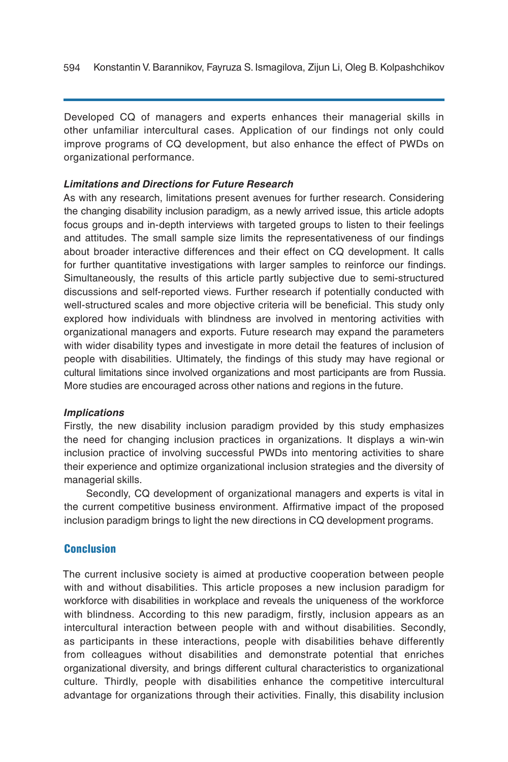Developed CQ of managers and experts enhances their managerial skills in other unfamiliar intercultural cases. Application of our findings not only could improve programs of CQ development, but also enhance the effect of PWDs on organizational performance.

## *Limitations and Directions for Future Research*

As with any research, limitations present avenues for further research. Considering the changing disability inclusion paradigm, as a newly arrived issue, this article adopts focus groups and in-depth interviews with targeted groups to listen to their feelings and attitudes. The small sample size limits the representativeness of our findings about broader interactive differences and their effect on CQ development. It calls for further quantitative investigations with larger samples to reinforce our findings. Simultaneously, the results of this article partly subjective due to semi-structured discussions and self-reported views. Further research if potentially conducted with well-structured scales and more objective criteria will be beneficial. This study only explored how individuals with blindness are involved in mentoring activities with organizational managers and exports. Future research may expand the parameters with wider disability types and investigate in more detail the features of inclusion of people with disabilities. Ultimately, the findings of this study may have regional or cultural limitations since involved organizations and most participants are from Russia. More studies are encouraged across other nations and regions in the future.

## *Implications*

Firstly, the new disability inclusion paradigm provided by this study emphasizes the need for changing inclusion practices in organizations. It displays a win-win inclusion practice of involving successful PWDs into mentoring activities to share their experience and optimize organizational inclusion strategies and the diversity of managerial skills.

Secondly, CQ development of organizational managers and experts is vital in the current competitive business environment. Affirmative impact of the proposed inclusion paradigm brings to light the new directions in CQ development programs.

## Conclusion

The current inclusive society is aimed at productive cooperation between people with and without disabilities. This article proposes a new inclusion paradigm for workforce with disabilities in workplace and reveals the uniqueness of the workforce with blindness. According to this new paradigm, firstly, inclusion appears as an intercultural interaction between people with and without disabilities. Secondly, as participants in these interactions, people with disabilities behave differently from colleagues without disabilities and demonstrate potential that enriches organizational diversity, and brings different cultural characteristics to organizational culture. Thirdly, people with disabilities enhance the competitive intercultural advantage for organizations through their activities. Finally, this disability inclusion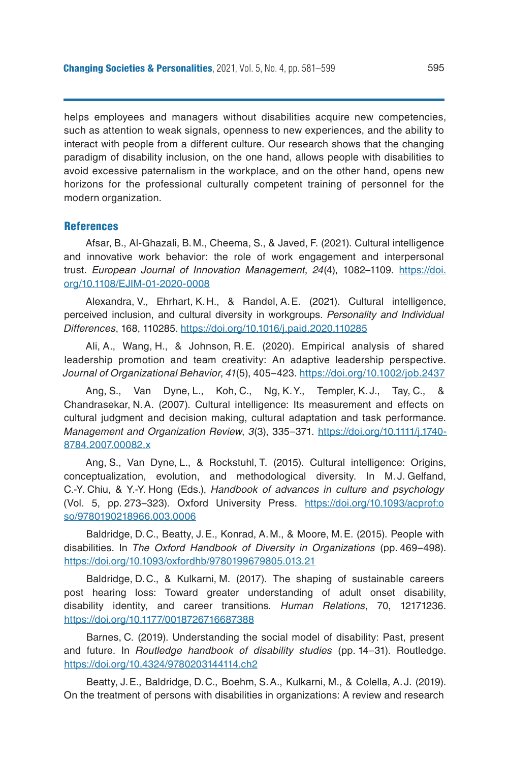helps employees and managers without disabilities acquire new competencies, such as attention to weak signals, openness to new experiences, and the ability to interact with people from a different culture. Our research shows that the changing paradigm of disability inclusion, on the one hand, allows people with disabilities to avoid excessive paternalism in the workplace, and on the other hand, opens new horizons for the professional culturally competent training of personnel for the modern organization.

#### References

Afsar, B., Al-Ghazali, B.M., Cheema, S., & Javed, F. (2021). Cultural intelligence and innovative work behavior: the role of work engagement and interpersonal trust. *European Journal of Innovation Management*, *24*(4), 1082–1109. [https://doi.](https://doi.org/10.1108/EJIM-01-2020-0008) [org/10.1108/EJIM-01-2020-0008](https://doi.org/10.1108/EJIM-01-2020-0008)

Alexandra, V., Ehrhart, K.H., & Randel, A.E. (2021). Cultural intelligence, perceived inclusion, and cultural diversity in workgroups. *Personality and Individual Differences*, 168, 110285.<https://doi.org/10.1016/j.paid.2020.110285>

Ali, A., Wang, H., & Johnson, R.E. (2020). Empirical analysis of shared leadership promotion and team creativity: An adaptive leadership perspective. *Journal of Organizational Behavior*, *41*(5), 405–423. <https://doi.org/10.1002/job.2437>

Ang, S., Van Dyne, L., Koh, C., Ng, K.Y., Templer, K.J., Tay, C., Chandrasekar, N.A. (2007). Cultural intelligence: Its measurement and effects on cultural judgment and decision making, cultural adaptation and task performance. *Management and Organization Review*, *3*(3), 335–371. [https://doi.org/10.1111/j.1740-](about:blank) [8784.2007.00082.x](about:blank)

Ang, S., Van Dyne, L., & Rockstuhl, T. (2015). Cultural intelligence: Origins, conceptualization, evolution, and methodological diversity. In M.J. Gelfand, C.-Y. Chiu, & Y.-Y. Hong (Eds.), *Handbook of advances in culture and psychology* (Vol. 5, pp. 273–323). Oxford University Press. [https://doi.org/10.1093/acprof:o](about:blank) [so/9780190218966.003.0006](about:blank)

Baldridge, D.C., Beatty, J.E., Konrad, A.M., & Moore, M.E. (2015). People with disabilities. In *The Oxford Handbook of Diversity in Organizations* (pp. 469–498). <https://doi.org/10.1093/oxfordhb/9780199679805.013.21>

Baldridge, D.C., & Kulkarni, M. (2017). The shaping of sustainable careers post hearing loss: Toward greater understanding of adult onset disability, disability identity, and career transitions*. Human Relations*, 70, 12171236. <https://doi.org/10.1177/0018726716687388>

Barnes, C. (2019). Understanding the social model of disability: Past, present and future. In *Routledge handbook of disability studies* (pp. 14–31). Routledge. <https://doi.org/10.4324/9780203144114.ch2>

Beatty, J.E., Baldridge, D.C., Boehm, S.A., Kulkarni, M., & Colella, A.J. (2019). On the treatment of persons with disabilities in organizations: A review and research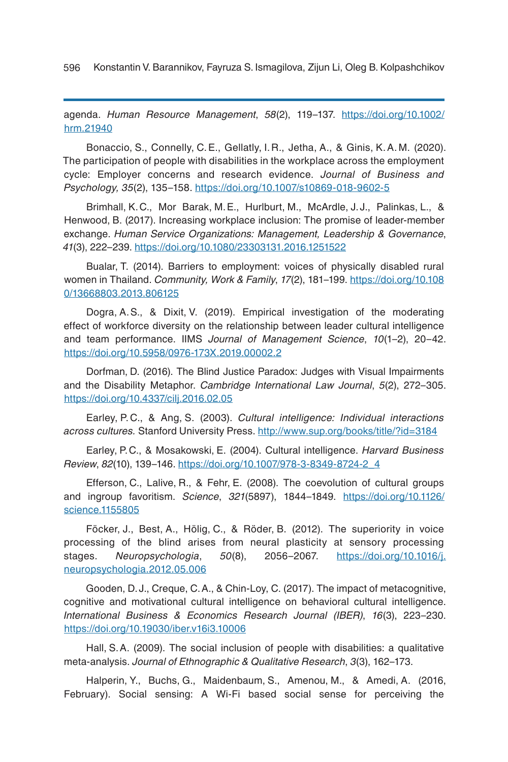596 Konstantin V. Barannikov, Fayruza S. Ismagilova, Zijun Li, Oleg B. Kolpashchikov

agenda. *Human Resource Management*, *58*(2), 119–137. [https://doi.org/10.1002/](about:blank) [hrm.21940](about:blank)

Bonaccio, S., Connelly, C.E., Gellatly, I. R., Jetha, A., & Ginis, K.A. M. (2020). The participation of people with disabilities in the workplace across the employment cycle: Employer concerns and research evidence. *Journal of Business and Psychology, 35*(2), 135–158. <https://doi.org/10.1007/s10869-018-9602-5>

Brimhall, K.C., Mor Barak, M.E., Hurlburt, M., McArdle, J.J., Palinkas, L., & Henwood, B. (2017). Increasing workplace inclusion: The promise of leader-member exchange. *Human Service Organizations: Management, Leadership & Governance*, *41*(3), 222–239. <https://doi.org/10.1080/23303131.2016.1251522>

Bualar, T. (2014). Barriers to employment: voices of physically disabled rural women in Thailand. *Community, Work & Family*, *17*(2), 181–199. [https://doi.org/10.108](https://doi.org/10.1080/13668803.2013.806125) [0/13668803.2013.806125](https://doi.org/10.1080/13668803.2013.806125)

Dogra, A.S., & Dixit, V. (2019). Empirical investigation of the moderating effect of workforce diversity on the relationship between leader cultural intelligence and team performance. IIMS *Journal of Management Science*, *10*(1–2), 20–42. [https://doi.org/10.5958/0976-173X.2019.00002.2](about:blank)

Dorfman, D. (2016). The Blind Justice Paradox: Judges with Visual Impairments and the Disability Metaphor. *Cambridge International Law Journal*, *5*(2), 272–305. <https://doi.org/10.4337/cilj.2016.02.05>

Earley, P. C., & Ang, S. (2003). *Cultural intelligence: Individual interactions across cultures.* Stanford University Press.<http://www.sup.org/books/title/?id=3184>

Earley, P.C., & Mosakowski, E. (2004). Cultural intelligence. *Harvard Business Review*, *82*(10), 139–146. [https://doi.org/10.1007/978-3-8349-8724-2\\_4](https://doi.org/10.1007/978-3-8349-8724-2_4)

Efferson, C., Lalive, R., & Fehr, E. (2008). The coevolution of cultural groups and ingroup favoritism. *Science*, *321*(5897), 1844–1849. [https://doi.org/10.1126/](https://doi.org/10.1126/science.1155805) [science.1155805](https://doi.org/10.1126/science.1155805)

Föcker, J., Best, A., Hölig, C., & Röder, B. (2012). The superiority in voice processing of the blind arises from neural plasticity at sensory processing stages. *Neuropsychologia*, *50*(8), 2056–2067. [https://doi.org/10.1016/j.](about:blank) [neuropsychologia.2012.05.006](about:blank)

Gooden, D.J., Creque, C.A., & Chin-Loy, C. (2017). The impact of metacognitive, cognitive and motivational cultural intelligence on behavioral cultural intelligence. *International Business & Economics Research Journal (IBER)*, *16*(3), 223–230. <https://doi.org/10.19030/iber.v16i3.10006>

Hall, S.A. (2009). The social inclusion of people with disabilities: a qualitative meta-analysis. *Journal of Ethnographic & Qualitative Research*, *3*(3), 162–173.

Halperin, Y., Buchs, G., Maidenbaum, S., Amenou, M., & Amedi, A. (2016, February). Social sensing: A Wi-Fi based social sense for perceiving the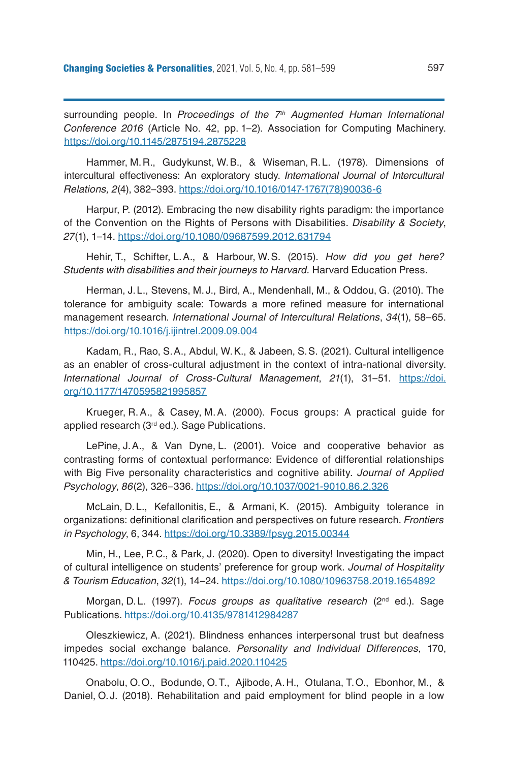surrounding people. In *Proceedings of the 7<sup>th</sup> Augmented Human International Conference 2016* (Article No. 42, pp. 1–2). Association for Computing Machinery. <https://doi.org/10.1145/2875194.2875228>

Hammer, M.R., Gudykunst, W.B., & Wiseman, R.L. (1978). Dimensions of intercultural effectiveness: An exploratory study. *International Journal of Intercultural Relations, 2*(4), 382–393. [https://doi.org/10.1016/0147-1767\(78\)90036-6](https://doi.org/10.1016/0147-1767(78)90036-6)

Harpur, P. (2012). Embracing the new disability rights paradigm: the importance of the Convention on the Rights of Persons with Disabilities. *Disability & Society*, *27*(1), 1–14. <https://doi.org/10.1080/09687599.2012.631794>

Hehir, T., Schifter, L.A., & Harbour, W.S. (2015). *How did you get here? Students with disabilities and their journeys to Harvard.* Harvard Education Press.

Herman, J.L., Stevens, M.J., Bird, A., Mendenhall, M., & Oddou, G. (2010). The tolerance for ambiguity scale: Towards a more refined measure for international management research*. International Journal of Intercultural Relations*, *34*(1), 58–65. <https://doi.org/10.1016/j.ijintrel.2009.09.004>

Kadam, R., Rao, S.A., Abdul, W.K., & Jabeen, S.S. (2021). Cultural intelligence as an enabler of cross-cultural adjustment in the context of intra-national diversity. *International Journal of Cross-Cultural Management*, *21*(1), 31–51. [https://doi.](https://doi.org/10.1177/1470595821995857) [org/10.1177/1470595821995857](https://doi.org/10.1177/1470595821995857)

Krueger, R.A., & Casey, M.A. (2000). Focus groups: A practical guide for applied research (3<sup>rd</sup> ed.). Sage Publications.

LePine, J.A., & Van Dyne, L. (2001). Voice and cooperative behavior as contrasting forms of contextual performance: Evidence of differential relationships with Big Five personality characteristics and cognitive ability. *Journal of Applied Psychology*, *86*(2), 326–336. <https://doi.org/10.1037/0021-9010.86.2.326>

McLain, D.L., Kefallonitis, E., & Armani, K. (2015). Ambiguity tolerance in organizations: definitional clarification and perspectives on future research. *Frontiers in Psychology*, 6, 344. <https://doi.org/10.3389/fpsyg.2015.00344>

Min, H., Lee, P.C., & Park, J. (2020). Open to diversity! Investigating the impact of cultural intelligence on students' preference for group work*. Journal of Hospitality & Tourism Education*, *32*(1), 14–24. <https://doi.org/10.1080/10963758.2019.1654892>

Morgan, D.L. (1997). *Focus groups as qualitative research* (2nd ed.). Sage Publications.<https://doi.org/10.4135/9781412984287>

Oleszkiewicz, A. (2021). Blindness enhances interpersonal trust but deafness impedes social exchange balance. *Personality and Individual Differences*, 170, 110425. <https://doi.org/10.1016/j.paid.2020.110425>

Onabolu, O.O., Bodunde, O.T., Ajibode, A.H., Otulana, T.O., Ebonhor, M., & Daniel, O.J. (2018). Rehabilitation and paid employment for blind people in a low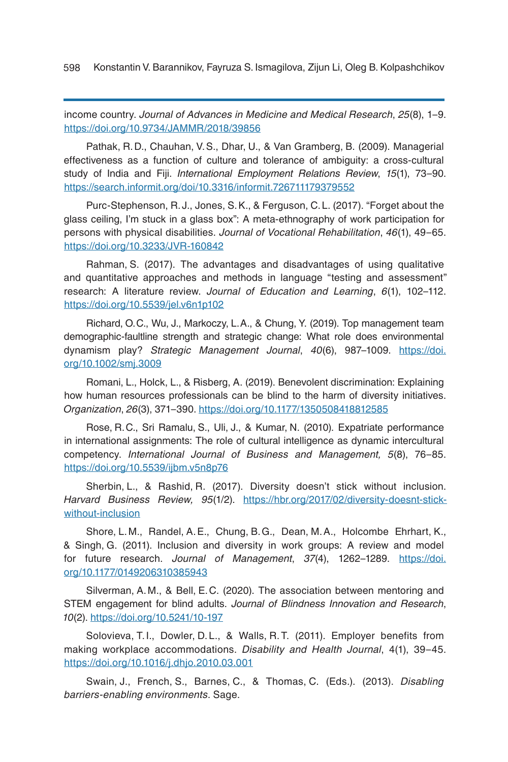598 Konstantin V. Barannikov, Fayruza S. Ismagilova, Zijun Li, Oleg B. Kolpashchikov

income country. *Journal of Advances in Medicine and Medical Research*, *25*(8), 1–9. [https://doi.org/10.9734/JAMMR/2018/39856](about:blank)

Pathak, R.D., Chauhan, V.S., Dhar, U., & Van Gramberg, B. (2009). Managerial effectiveness as a function of culture and tolerance of ambiguity: a cross-cultural study of India and Fiji. *International Employment Relations Review*, *15*(1), 73–90. <https://search.informit.org/doi/10.3316/informit.726711179379552>

Purc-Stephenson, R.J., Jones, S.K., & Ferguson, C.L. (2017). "Forget about the glass ceiling, I'm stuck in a glass box": A meta-ethnography of work participation for persons with physical disabilities. *Journal of Vocational Rehabilitation*, *46*(1), 49–65. <https://doi.org/10.3233/JVR-160842>

Rahman, S. (2017). The advantages and disadvantages of using qualitative and quantitative approaches and methods in language "testing and assessment" research: A literature review. *Journal of Education and Learning*, *6*(1), 102–112. [https://doi.org/10.5539/jel.v6n1p102](about:blank)

Richard, O.C., Wu, J., Markoczy, L.A., & Chung, Y. (2019). Top management team demographic-faultline strength and strategic change: What role does environmental dynamism play? *Strategic Management Journal*, *40*(6), 987–1009. [https://doi.](https://doi.org/10.1002/smj.3009) [org/10.1002/smj.3009](https://doi.org/10.1002/smj.3009)

Romani, L., Holck, L., & Risberg, A. (2019). Benevolent discrimination: Explaining how human resources professionals can be blind to the harm of diversity initiatives. *Organization*, *26*(3), 371–390. <https://doi.org/10.1177/1350508418812585>

Rose, R.C., Sri Ramalu, S., Uli, J., & Kumar, N. (2010). Expatriate performance in international assignments: The role of cultural intelligence as dynamic intercultural competency. *International Journal of Business and Management, 5*(8), 76–85. <https://doi.org/10.5539/ijbm.v5n8p76>

Sherbin, L., & Rashid, R. (2017). Diversity doesn't stick without inclusion. *Harvard Business Review, 95*(1/2). [https://hbr.org/2017/02/diversity-doesnt-stick](https://hbr.org/2017/02/diversity-doesnt-stick-without-inclusion)[without-inclusion](https://hbr.org/2017/02/diversity-doesnt-stick-without-inclusion)

Shore, L.M., Randel, A.E., Chung, B.G., Dean, M.A., Holcombe Ehrhart, K., & Singh, G. (2011). Inclusion and diversity in work groups: A review and model for future research. *Journal of Management*, *37*(4), 1262–1289. [https://doi.](about:blank) [org/10.1177/0149206310385943](about:blank)

Silverman, A.M., & Bell, E.C. (2020). The association between mentoring and STEM engagement for blind adults. *Journal of Blindness Innovation and Research*, *10*(2). <https://doi.org/10.5241/10-197>

Solovieva, T. I., Dowler, D. L., & Walls, R.T. (2011). Employer benefits from making workplace accommodations. *Disability and Health Journal*, 4(1), 39–45. <https://doi.org/10.1016/j.dhjo.2010.03.001>

Swain, J., French, S., Barnes, C., & Thomas, C. (Eds.). (2013). *Disabling barriers-enabling environments*. Sage.